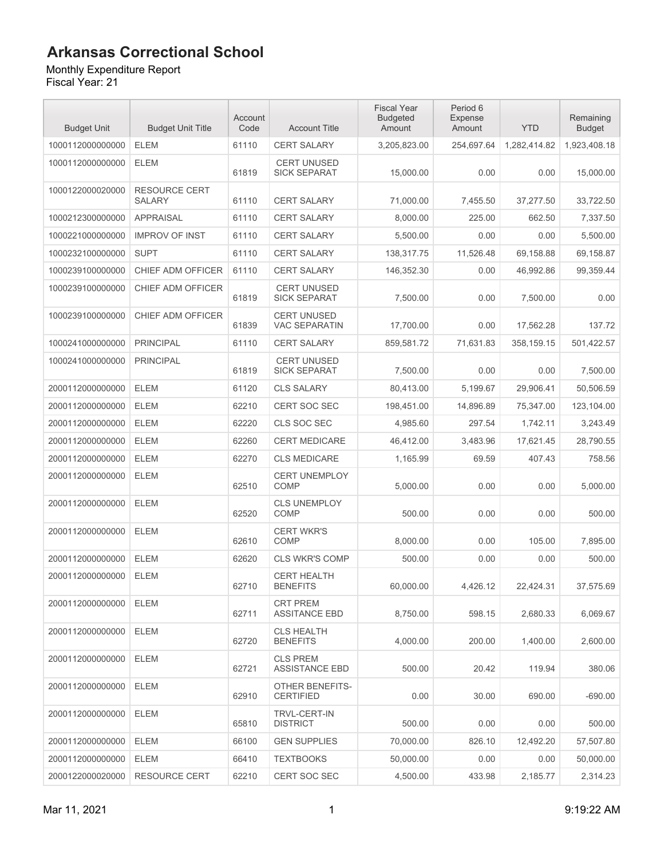### Monthly Expenditure Report

| <b>Budget Unit</b> | <b>Budget Unit Title</b>              | Account<br>Code | <b>Account Title</b>                       | <b>Fiscal Year</b><br><b>Budgeted</b><br>Amount | Period 6<br>Expense<br>Amount | <b>YTD</b>   | Remaining<br><b>Budget</b> |
|--------------------|---------------------------------------|-----------------|--------------------------------------------|-------------------------------------------------|-------------------------------|--------------|----------------------------|
| 1000112000000000   | <b>ELEM</b>                           | 61110           | <b>CERT SALARY</b>                         | 3,205,823.00                                    | 254,697.64                    | 1,282,414.82 | 1,923,408.18               |
| 1000112000000000   | <b>ELEM</b>                           | 61819           | <b>CERT UNUSED</b><br><b>SICK SEPARAT</b>  | 15,000.00                                       | 0.00                          | 0.00         | 15,000.00                  |
| 1000122000020000   | <b>RESOURCE CERT</b><br><b>SALARY</b> | 61110           | <b>CERT SALARY</b>                         | 71,000.00                                       | 7,455.50                      | 37,277.50    | 33,722.50                  |
| 1000212300000000   | <b>APPRAISAL</b>                      | 61110           | <b>CERT SALARY</b>                         | 8,000.00                                        | 225.00                        | 662.50       | 7,337.50                   |
| 1000221000000000   | <b>IMPROV OF INST</b>                 | 61110           | <b>CERT SALARY</b>                         | 5,500.00                                        | 0.00                          | 0.00         | 5,500.00                   |
| 1000232100000000   | <b>SUPT</b>                           | 61110           | <b>CERT SALARY</b>                         | 138,317.75                                      | 11,526.48                     | 69,158.88    | 69,158.87                  |
| 1000239100000000   | CHIEF ADM OFFICER                     | 61110           | <b>CERT SALARY</b>                         | 146,352.30                                      | 0.00                          | 46,992.86    | 99,359.44                  |
| 1000239100000000   | CHIEF ADM OFFICER                     | 61819           | <b>CERT UNUSED</b><br><b>SICK SEPARAT</b>  | 7,500.00                                        | 0.00                          | 7,500.00     | 0.00                       |
| 1000239100000000   | CHIEF ADM OFFICER                     | 61839           | <b>CERT UNUSED</b><br><b>VAC SEPARATIN</b> | 17,700.00                                       | 0.00                          | 17,562.28    | 137.72                     |
| 1000241000000000   | <b>PRINCIPAL</b>                      | 61110           | <b>CERT SALARY</b>                         | 859,581.72                                      | 71.631.83                     | 358,159.15   | 501,422.57                 |
| 1000241000000000   | <b>PRINCIPAL</b>                      | 61819           | <b>CERT UNUSED</b><br><b>SICK SEPARAT</b>  | 7,500.00                                        | 0.00                          | 0.00         | 7,500.00                   |
| 2000112000000000   | <b>ELEM</b>                           | 61120           | <b>CLS SALARY</b>                          | 80,413.00                                       | 5,199.67                      | 29,906.41    | 50,506.59                  |
| 2000112000000000   | <b>ELEM</b>                           | 62210           | <b>CERT SOC SEC</b>                        | 198,451.00                                      | 14,896.89                     | 75,347.00    | 123,104.00                 |
| 2000112000000000   | <b>ELEM</b>                           | 62220           | CLS SOC SEC                                | 4,985.60                                        | 297.54                        | 1,742.11     | 3,243.49                   |
| 2000112000000000   | <b>ELEM</b>                           | 62260           | <b>CERT MEDICARE</b>                       | 46,412.00                                       | 3,483.96                      | 17,621.45    | 28,790.55                  |
| 2000112000000000   | <b>ELEM</b>                           | 62270           | <b>CLS MEDICARE</b>                        | 1,165.99                                        | 69.59                         | 407.43       | 758.56                     |
| 2000112000000000   | <b>ELEM</b>                           | 62510           | <b>CERT UNEMPLOY</b><br><b>COMP</b>        | 5,000.00                                        | 0.00                          | 0.00         | 5,000.00                   |
| 2000112000000000   | <b>ELEM</b>                           | 62520           | <b>CLS UNEMPLOY</b><br><b>COMP</b>         | 500.00                                          | 0.00                          | 0.00         | 500.00                     |
| 2000112000000000   | <b>ELEM</b>                           | 62610           | <b>CERT WKR'S</b><br><b>COMP</b>           | 8,000.00                                        | 0.00                          | 105.00       | 7,895.00                   |
| 2000112000000000   | <b>ELEM</b>                           | 62620           | <b>CLS WKR'S COMP</b>                      | 500.00                                          | 0.00                          | 0.00         | 500.00                     |
| 2000112000000000   | <b>ELEM</b>                           | 62710           | <b>CERT HEALTH</b><br><b>BENEFITS</b>      | 60,000.00                                       | 4,426.12                      | 22,424.31    | 37,575.69                  |
| 2000112000000000   | <b>ELEM</b>                           | 62711           | <b>CRT PREM</b><br><b>ASSITANCE EBD</b>    | 8,750.00                                        | 598.15                        | 2,680.33     | 6.069.67                   |
| 2000112000000000   | <b>ELEM</b>                           | 62720           | <b>CLS HEALTH</b><br><b>BENEFITS</b>       | 4,000.00                                        | 200.00                        | 1,400.00     | 2,600.00                   |
| 2000112000000000   | <b>ELEM</b>                           | 62721           | <b>CLS PREM</b><br><b>ASSISTANCE EBD</b>   | 500.00                                          | 20.42                         | 119.94       | 380.06                     |
| 2000112000000000   | <b>ELEM</b>                           | 62910           | <b>OTHER BENEFITS-</b><br><b>CERTIFIED</b> | 0.00                                            | 30.00                         | 690.00       | $-690.00$                  |
| 2000112000000000   | <b>ELEM</b>                           | 65810           | <b>TRVL-CERT-IN</b><br><b>DISTRICT</b>     | 500.00                                          | 0.00                          | 0.00         | 500.00                     |
| 2000112000000000   | <b>ELEM</b>                           | 66100           | <b>GEN SUPPLIES</b>                        | 70,000.00                                       | 826.10                        | 12,492.20    | 57,507.80                  |
| 2000112000000000   | <b>ELEM</b>                           | 66410           | <b>TEXTBOOKS</b>                           | 50,000.00                                       | 0.00                          | 0.00         | 50,000.00                  |
| 2000122000020000   | <b>RESOURCE CERT</b>                  | 62210           | <b>CERT SOC SEC</b>                        | 4,500.00                                        | 433.98                        | 2,185.77     | 2,314.23                   |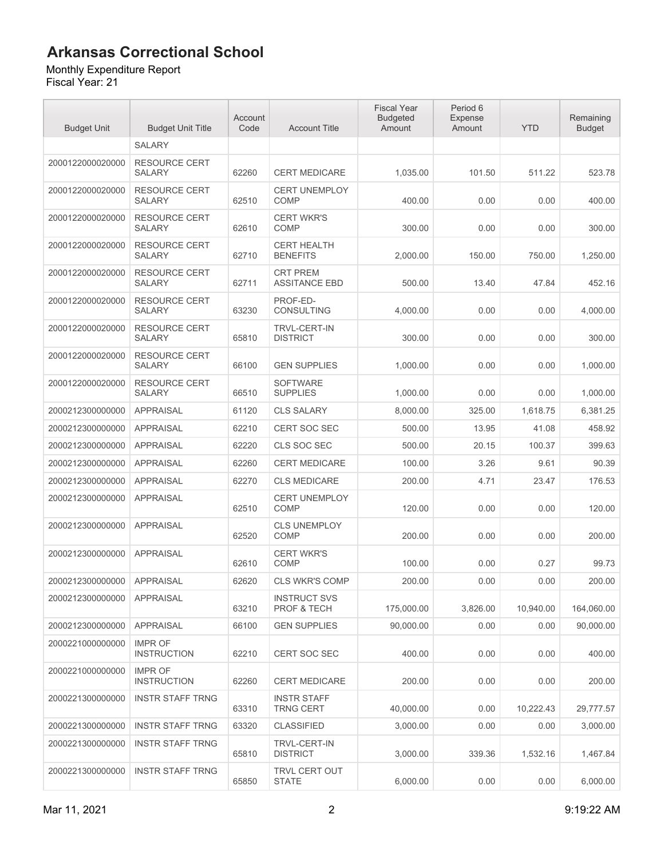#### Monthly Expenditure Report

| <b>Budget Unit</b> | <b>Budget Unit Title</b>              | Account<br>Code | <b>Account Title</b>                    | <b>Fiscal Year</b><br><b>Budgeted</b><br>Amount | Period 6<br><b>Expense</b><br>Amount | <b>YTD</b> | Remaining<br><b>Budget</b> |
|--------------------|---------------------------------------|-----------------|-----------------------------------------|-------------------------------------------------|--------------------------------------|------------|----------------------------|
|                    | <b>SALARY</b>                         |                 |                                         |                                                 |                                      |            |                            |
| 2000122000020000   | <b>RESOURCE CERT</b><br><b>SALARY</b> | 62260           | <b>CERT MEDICARE</b>                    | 1,035.00                                        | 101.50                               | 511.22     | 523.78                     |
| 2000122000020000   | <b>RESOURCE CERT</b><br><b>SALARY</b> | 62510           | <b>CERT UNEMPLOY</b><br><b>COMP</b>     | 400.00                                          | 0.00                                 | 0.00       | 400.00                     |
| 2000122000020000   | <b>RESOURCE CERT</b><br>SALARY        | 62610           | <b>CERT WKR'S</b><br><b>COMP</b>        | 300.00                                          | 0.00                                 | 0.00       | 300.00                     |
| 2000122000020000   | <b>RESOURCE CERT</b><br><b>SALARY</b> | 62710           | <b>CERT HEALTH</b><br><b>BENEFITS</b>   | 2,000.00                                        | 150.00                               | 750.00     | 1,250.00                   |
| 2000122000020000   | <b>RESOURCE CERT</b><br><b>SALARY</b> | 62711           | <b>CRT PREM</b><br><b>ASSITANCE EBD</b> | 500.00                                          | 13.40                                | 47.84      | 452.16                     |
| 2000122000020000   | <b>RESOURCE CERT</b><br><b>SALARY</b> | 63230           | PROF-ED-<br>CONSULTING                  | 4,000.00                                        | 0.00                                 | 0.00       | 4,000.00                   |
| 2000122000020000   | <b>RESOURCE CERT</b><br><b>SALARY</b> | 65810           | <b>TRVL-CERT-IN</b><br><b>DISTRICT</b>  | 300.00                                          | 0.00                                 | 0.00       | 300.00                     |
| 2000122000020000   | <b>RESOURCE CERT</b><br><b>SALARY</b> | 66100           | <b>GEN SUPPLIES</b>                     | 1,000.00                                        | 0.00                                 | 0.00       | 1,000.00                   |
| 2000122000020000   | RESOURCE CERT<br><b>SALARY</b>        | 66510           | <b>SOFTWARE</b><br><b>SUPPLIES</b>      | 1,000.00                                        | 0.00                                 | 0.00       | 1,000.00                   |
| 2000212300000000   | <b>APPRAISAL</b>                      | 61120           | <b>CLS SALARY</b>                       | 8,000.00                                        | 325.00                               | 1,618.75   | 6,381.25                   |
| 2000212300000000   | <b>APPRAISAL</b>                      | 62210           | <b>CERT SOC SEC</b>                     | 500.00                                          | 13.95                                | 41.08      | 458.92                     |
| 2000212300000000   | <b>APPRAISAL</b>                      | 62220           | CLS SOC SEC                             | 500.00                                          | 20.15                                | 100.37     | 399.63                     |
| 2000212300000000   | <b>APPRAISAL</b>                      | 62260           | <b>CERT MEDICARE</b>                    | 100.00                                          | 3.26                                 | 9.61       | 90.39                      |
| 2000212300000000   | <b>APPRAISAL</b>                      | 62270           | <b>CLS MEDICARE</b>                     | 200.00                                          | 4.71                                 | 23.47      | 176.53                     |
| 2000212300000000   | <b>APPRAISAL</b>                      | 62510           | <b>CERT UNEMPLOY</b><br><b>COMP</b>     | 120.00                                          | 0.00                                 | 0.00       | 120.00                     |
| 2000212300000000   | <b>APPRAISAL</b>                      | 62520           | <b>CLS UNEMPLOY</b><br>COMP             | 200.00                                          | 0.00                                 | 0.00       | 200.00                     |
| 2000212300000000   | <b>APPRAISAL</b>                      | 62610           | <b>CERT WKR'S</b><br><b>COMP</b>        | 100.00                                          | 0.00                                 | 0.27       | 99.73                      |
| 2000212300000000   | <b>APPRAISAL</b>                      | 62620           | <b>CLS WKR'S COMP</b>                   | 200.00                                          | 0.00                                 | 0.00       | 200.00                     |
| 2000212300000000   | APPRAISAL                             | 63210           | <b>INSTRUCT SVS</b><br>PROF & TECH      | 175,000.00                                      | 3.826.00                             | 10,940.00  | 164,060.00                 |
| 2000212300000000   | <b>APPRAISAL</b>                      | 66100           | <b>GEN SUPPLIES</b>                     | 90,000.00                                       | 0.00                                 | 0.00       | 90,000.00                  |
| 2000221000000000   | <b>IMPR OF</b><br><b>INSTRUCTION</b>  | 62210           | <b>CERT SOC SEC</b>                     | 400.00                                          | 0.00                                 | 0.00       | 400.00                     |
| 2000221000000000   | <b>IMPR OF</b><br><b>INSTRUCTION</b>  | 62260           | <b>CERT MEDICARE</b>                    | 200.00                                          | 0.00                                 | 0.00       | 200.00                     |
| 2000221300000000   | <b>INSTR STAFF TRNG</b>               | 63310           | <b>INSTR STAFF</b><br><b>TRNG CERT</b>  | 40,000.00                                       | 0.00                                 | 10,222.43  | 29,777.57                  |
| 2000221300000000   | <b>INSTR STAFF TRNG</b>               | 63320           | <b>CLASSIFIED</b>                       | 3,000.00                                        | 0.00                                 | 0.00       | 3,000.00                   |
| 2000221300000000   | <b>INSTR STAFF TRNG</b>               | 65810           | <b>TRVL-CERT-IN</b><br><b>DISTRICT</b>  | 3,000.00                                        | 339.36                               | 1,532.16   | 1,467.84                   |
| 2000221300000000   | <b>INSTR STAFF TRNG</b>               | 65850           | TRVL CERT OUT<br><b>STATE</b>           | 6,000.00                                        | 0.00                                 | 0.00       | 6,000.00                   |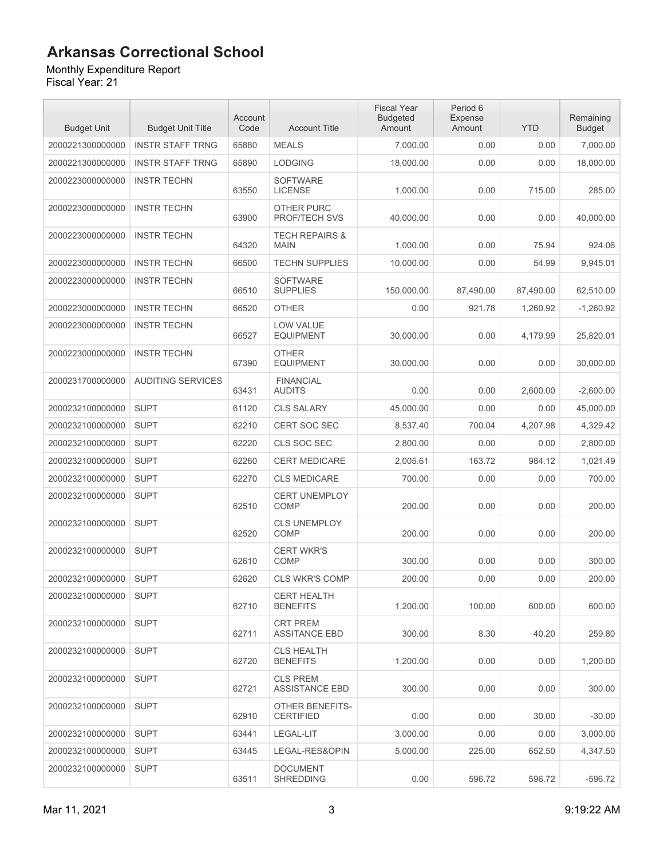#### Monthly Expenditure Report

| <b>Budget Unit</b> | <b>Budget Unit Title</b> | Account<br>Code | <b>Account Title</b>                      | <b>Fiscal Year</b><br><b>Budgeted</b><br>Amount | Period 6<br><b>Expense</b><br>Amount | <b>YTD</b> | Remaining<br><b>Budget</b> |
|--------------------|--------------------------|-----------------|-------------------------------------------|-------------------------------------------------|--------------------------------------|------------|----------------------------|
| 2000221300000000   | <b>INSTR STAFF TRNG</b>  | 65880           | <b>MEALS</b>                              | 7,000.00                                        | 0.00                                 | 0.00       | 7,000.00                   |
| 2000221300000000   | <b>INSTR STAFF TRNG</b>  | 65890           | <b>LODGING</b>                            | 18,000.00                                       | 0.00                                 | 0.00       | 18,000.00                  |
| 2000223000000000   | <b>INSTR TECHN</b>       | 63550           | <b>SOFTWARE</b><br><b>LICENSE</b>         | 1,000.00                                        | 0.00                                 | 715.00     | 285.00                     |
| 2000223000000000   | <b>INSTR TECHN</b>       | 63900           | <b>OTHER PURC</b><br><b>PROF/TECH SVS</b> | 40,000.00                                       | 0.00                                 | 0.00       | 40,000.00                  |
| 2000223000000000   | <b>INSTR TECHN</b>       | 64320           | <b>TECH REPAIRS &amp;</b><br><b>MAIN</b>  | 1,000.00                                        | 0.00                                 | 75.94      | 924.06                     |
| 2000223000000000   | <b>INSTR TECHN</b>       | 66500           | <b>TECHN SUPPLIES</b>                     | 10,000.00                                       | 0.00                                 | 54.99      | 9,945.01                   |
| 2000223000000000   | <b>INSTR TECHN</b>       | 66510           | <b>SOFTWARE</b><br><b>SUPPLIES</b>        | 150,000.00                                      | 87,490.00                            | 87,490.00  | 62,510.00                  |
| 2000223000000000   | <b>INSTR TECHN</b>       | 66520           | <b>OTHER</b>                              | 0.00                                            | 921.78                               | 1,260.92   | $-1,260.92$                |
| 2000223000000000   | <b>INSTR TECHN</b>       | 66527           | <b>LOW VALUE</b><br><b>EQUIPMENT</b>      | 30,000.00                                       | 0.00                                 | 4,179.99   | 25,820.01                  |
| 2000223000000000   | <b>INSTR TECHN</b>       | 67390           | <b>OTHER</b><br><b>EQUIPMENT</b>          | 30,000.00                                       | 0.00                                 | 0.00       | 30,000.00                  |
| 2000231700000000   | <b>AUDITING SERVICES</b> | 63431           | <b>FINANCIAL</b><br><b>AUDITS</b>         | 0.00                                            | 0.00                                 | 2,600.00   | $-2.600.00$                |
| 2000232100000000   | <b>SUPT</b>              | 61120           | <b>CLS SALARY</b>                         | 45,000.00                                       | 0.00                                 | 0.00       | 45,000.00                  |
| 2000232100000000   | <b>SUPT</b>              | 62210           | <b>CERT SOC SEC</b>                       | 8,537.40                                        | 700.04                               | 4,207.98   | 4,329.42                   |
| 2000232100000000   | <b>SUPT</b>              | 62220           | CLS SOC SEC                               | 2,800.00                                        | 0.00                                 | 0.00       | 2,800.00                   |
| 2000232100000000   | <b>SUPT</b>              | 62260           | <b>CERT MEDICARE</b>                      | 2,005.61                                        | 163.72                               | 984.12     | 1,021.49                   |
| 2000232100000000   | <b>SUPT</b>              | 62270           | <b>CLS MEDICARE</b>                       | 700.00                                          | 0.00                                 | 0.00       | 700.00                     |
| 2000232100000000   | <b>SUPT</b>              | 62510           | <b>CERT UNEMPLOY</b><br><b>COMP</b>       | 200.00                                          | 0.00                                 | 0.00       | 200.00                     |
| 2000232100000000   | <b>SUPT</b>              | 62520           | <b>CLS UNEMPLOY</b><br><b>COMP</b>        | 200.00                                          | 0.00                                 | 0.00       | 200.00                     |
| 2000232100000000   | <b>SUPT</b>              | 62610           | <b>CERT WKR'S</b><br>COMP                 | 300.00                                          | 0.00                                 | 0.00       | 300.00                     |
| 2000232100000000   | <b>SUPT</b>              | 62620           | <b>CLS WKR'S COMP</b>                     | 200.00                                          | 0.00                                 | 0.00       | 200.00                     |
| 2000232100000000   | <b>SUPT</b>              | 62710           | <b>CERT HEALTH</b><br><b>BENEFITS</b>     | 1.200.00                                        | 100.00                               | 600.00     | 600.00                     |
| 2000232100000000   | <b>SUPT</b>              | 62711           | <b>CRT PREM</b><br><b>ASSITANCE EBD</b>   | 300.00                                          | 8.30                                 | 40.20      | 259.80                     |
| 2000232100000000   | <b>SUPT</b>              | 62720           | <b>CLS HEALTH</b><br><b>BENEFITS</b>      | 1,200.00                                        | 0.00                                 | 0.00       | 1,200.00                   |
| 2000232100000000   | <b>SUPT</b>              | 62721           | <b>CLS PREM</b><br><b>ASSISTANCE EBD</b>  | 300.00                                          | 0.00                                 | 0.00       | 300.00                     |
| 2000232100000000   | <b>SUPT</b>              | 62910           | OTHER BENEFITS-<br><b>CERTIFIED</b>       | 0.00                                            | 0.00                                 | 30.00      | $-30.00$                   |
| 2000232100000000   | <b>SUPT</b>              | 63441           | LEGAL-LIT                                 | 3,000.00                                        | 0.00                                 | 0.00       | 3,000.00                   |
| 2000232100000000   | <b>SUPT</b>              | 63445           | LEGAL-RES&OPIN                            | 5,000.00                                        | 225.00                               | 652.50     | 4,347.50                   |
| 2000232100000000   | <b>SUPT</b>              | 63511           | <b>DOCUMENT</b><br><b>SHREDDING</b>       | 0.00                                            | 596.72                               | 596.72     | $-596.72$                  |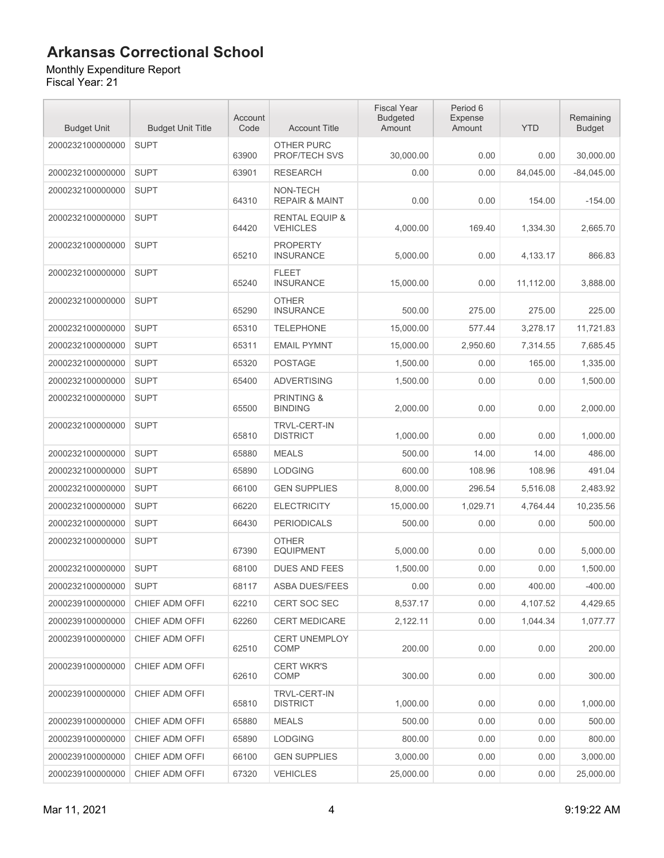Monthly Expenditure Report Fiscal Year: 21

| <b>Budget Unit</b> | <b>Budget Unit Title</b> | Account<br>Code | <b>Account Title</b>                         | <b>Fiscal Year</b><br><b>Budgeted</b><br>Amount | Period 6<br><b>Expense</b><br>Amount | <b>YTD</b> | Remaining<br><b>Budget</b> |
|--------------------|--------------------------|-----------------|----------------------------------------------|-------------------------------------------------|--------------------------------------|------------|----------------------------|
| 2000232100000000   | <b>SUPT</b>              | 63900           | OTHER PURC<br>PROF/TECH SVS                  | 30,000.00                                       | 0.00                                 | 0.00       | 30,000.00                  |
| 2000232100000000   | <b>SUPT</b>              | 63901           | <b>RESEARCH</b>                              | 0.00                                            | 0.00                                 | 84,045.00  | $-84,045.00$               |
| 2000232100000000   | <b>SUPT</b>              | 64310           | NON-TECH<br><b>REPAIR &amp; MAINT</b>        | 0.00                                            | 0.00                                 | 154.00     | $-154.00$                  |
| 2000232100000000   | <b>SUPT</b>              | 64420           | <b>RENTAL EQUIP &amp;</b><br><b>VEHICLES</b> | 4.000.00                                        | 169.40                               | 1,334.30   | 2,665.70                   |
| 2000232100000000   | <b>SUPT</b>              | 65210           | <b>PROPERTY</b><br><b>INSURANCE</b>          | 5,000.00                                        | 0.00                                 | 4,133.17   | 866.83                     |
| 2000232100000000   | <b>SUPT</b>              | 65240           | <b>FLEET</b><br><b>INSURANCE</b>             | 15,000.00                                       | 0.00                                 | 11,112.00  | 3,888.00                   |
| 2000232100000000   | <b>SUPT</b>              | 65290           | <b>OTHER</b><br><b>INSURANCE</b>             | 500.00                                          | 275.00                               | 275.00     | 225.00                     |
| 2000232100000000   | <b>SUPT</b>              | 65310           | <b>TELEPHONE</b>                             | 15,000.00                                       | 577.44                               | 3,278.17   | 11,721.83                  |
| 2000232100000000   | <b>SUPT</b>              | 65311           | <b>EMAIL PYMNT</b>                           | 15,000.00                                       | 2,950.60                             | 7,314.55   | 7,685.45                   |
| 2000232100000000   | <b>SUPT</b>              | 65320           | <b>POSTAGE</b>                               | 1,500.00                                        | 0.00                                 | 165.00     | 1,335.00                   |
| 2000232100000000   | <b>SUPT</b>              | 65400           | <b>ADVERTISING</b>                           | 1,500.00                                        | 0.00                                 | 0.00       | 1,500.00                   |
| 2000232100000000   | <b>SUPT</b>              | 65500           | <b>PRINTING &amp;</b><br><b>BINDING</b>      | 2,000.00                                        | 0.00                                 | 0.00       | 2,000.00                   |
| 2000232100000000   | <b>SUPT</b>              | 65810           | <b>TRVL-CERT-IN</b><br><b>DISTRICT</b>       | 1,000.00                                        | 0.00                                 | 0.00       | 1,000.00                   |
| 2000232100000000   | <b>SUPT</b>              | 65880           | <b>MEALS</b>                                 | 500.00                                          | 14.00                                | 14.00      | 486.00                     |
| 2000232100000000   | <b>SUPT</b>              | 65890           | <b>LODGING</b>                               | 600.00                                          | 108.96                               | 108.96     | 491.04                     |
| 2000232100000000   | <b>SUPT</b>              | 66100           | <b>GEN SUPPLIES</b>                          | 8,000.00                                        | 296.54                               | 5,516.08   | 2,483.92                   |
| 2000232100000000   | <b>SUPT</b>              | 66220           | <b>ELECTRICITY</b>                           | 15,000.00                                       | 1,029.71                             | 4,764.44   | 10,235.56                  |
| 2000232100000000   | <b>SUPT</b>              | 66430           | <b>PERIODICALS</b>                           | 500.00                                          | 0.00                                 | 0.00       | 500.00                     |
| 2000232100000000   | <b>SUPT</b>              | 67390           | <b>OTHER</b><br><b>EQUIPMENT</b>             | 5,000.00                                        | 0.00                                 | 0.00       | 5,000.00                   |
| 2000232100000000   | <b>SUPT</b>              | 68100           | <b>DUES AND FEES</b>                         | 1,500.00                                        | 0.00                                 | 0.00       | 1,500.00                   |
| 2000232100000000   | <b>SUPT</b>              | 68117           | ASBA DUES/FEES                               | 0.00                                            | 0.00                                 | 400.00     | $-400.00$                  |
| 2000239100000000   | CHIEF ADM OFFI           | 62210           | <b>CERT SOC SEC</b>                          | 8,537.17                                        | 0.00                                 | 4.107.52   | 4,429.65                   |
| 2000239100000000   | CHIEF ADM OFFI           | 62260           | <b>CERT MEDICARE</b>                         | 2,122.11                                        | 0.00                                 | 1,044.34   | 1,077.77                   |
| 2000239100000000   | CHIEF ADM OFFI           | 62510           | <b>CERT UNEMPLOY</b><br>COMP                 | 200.00                                          | 0.00                                 | 0.00       | 200.00                     |
| 2000239100000000   | CHIEF ADM OFFI           | 62610           | <b>CERT WKR'S</b><br>COMP                    | 300.00                                          | 0.00                                 | 0.00       | 300.00                     |
| 2000239100000000   | CHIEF ADM OFFI           | 65810           | TRVL-CERT-IN<br><b>DISTRICT</b>              | 1.000.00                                        | 0.00                                 | 0.00       | 1,000.00                   |
| 2000239100000000   | CHIEF ADM OFFI           | 65880           | <b>MEALS</b>                                 | 500.00                                          | 0.00                                 | 0.00       | 500.00                     |
| 2000239100000000   | CHIEF ADM OFFI           | 65890           | <b>LODGING</b>                               | 800.00                                          | 0.00                                 | 0.00       | 800.00                     |
| 2000239100000000   | CHIEF ADM OFFI           | 66100           | <b>GEN SUPPLIES</b>                          | 3,000.00                                        | 0.00                                 | 0.00       | 3,000.00                   |
| 2000239100000000   | CHIEF ADM OFFI           | 67320           | <b>VEHICLES</b>                              | 25,000.00                                       | 0.00                                 | 0.00       | 25,000.00                  |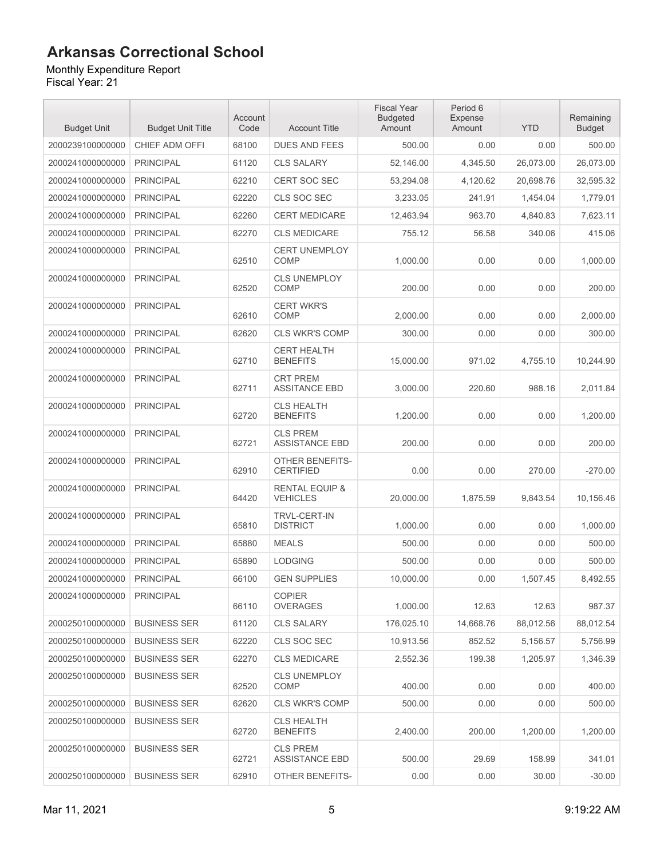#### Monthly Expenditure Report

| <b>Budget Unit</b> | <b>Budget Unit Title</b> | Account<br>Code | <b>Account Title</b>                         | <b>Fiscal Year</b><br><b>Budgeted</b><br>Amount | Period 6<br><b>Expense</b><br>Amount | <b>YTD</b> | Remaining<br><b>Budget</b> |
|--------------------|--------------------------|-----------------|----------------------------------------------|-------------------------------------------------|--------------------------------------|------------|----------------------------|
| 2000239100000000   | CHIEF ADM OFFI           | 68100           | <b>DUES AND FEES</b>                         | 500.00                                          | 0.00                                 | 0.00       | 500.00                     |
| 2000241000000000   | <b>PRINCIPAL</b>         | 61120           | <b>CLS SALARY</b>                            | 52,146.00                                       | 4,345.50                             | 26,073.00  | 26,073.00                  |
| 2000241000000000   | <b>PRINCIPAL</b>         | 62210           | <b>CERT SOC SEC</b>                          | 53,294.08                                       | 4,120.62                             | 20,698.76  | 32,595.32                  |
| 2000241000000000   | <b>PRINCIPAL</b>         | 62220           | CLS SOC SEC                                  | 3,233.05                                        | 241.91                               | 1,454.04   | 1,779.01                   |
| 2000241000000000   | <b>PRINCIPAL</b>         | 62260           | <b>CERT MEDICARE</b>                         | 12,463.94                                       | 963.70                               | 4,840.83   | 7,623.11                   |
| 2000241000000000   | <b>PRINCIPAL</b>         | 62270           | <b>CLS MEDICARE</b>                          | 755.12                                          | 56.58                                | 340.06     | 415.06                     |
| 2000241000000000   | <b>PRINCIPAL</b>         | 62510           | <b>CERT UNEMPLOY</b><br><b>COMP</b>          | 1,000.00                                        | 0.00                                 | 0.00       | 1,000.00                   |
| 2000241000000000   | <b>PRINCIPAL</b>         | 62520           | <b>CLS UNEMPLOY</b><br>COMP                  | 200.00                                          | 0.00                                 | 0.00       | 200.00                     |
| 2000241000000000   | <b>PRINCIPAL</b>         | 62610           | <b>CERT WKR'S</b><br><b>COMP</b>             | 2,000.00                                        | 0.00                                 | 0.00       | 2,000.00                   |
| 2000241000000000   | <b>PRINCIPAL</b>         | 62620           | <b>CLS WKR'S COMP</b>                        | 300.00                                          | 0.00                                 | 0.00       | 300.00                     |
| 2000241000000000   | <b>PRINCIPAL</b>         | 62710           | <b>CERT HEALTH</b><br><b>BENEFITS</b>        | 15,000.00                                       | 971.02                               | 4,755.10   | 10,244.90                  |
| 2000241000000000   | <b>PRINCIPAL</b>         | 62711           | <b>CRT PREM</b><br><b>ASSITANCE EBD</b>      | 3,000.00                                        | 220.60                               | 988.16     | 2.011.84                   |
| 2000241000000000   | <b>PRINCIPAL</b>         | 62720           | <b>CLS HEALTH</b><br><b>BENEFITS</b>         | 1,200.00                                        | 0.00                                 | 0.00       | 1,200.00                   |
| 2000241000000000   | <b>PRINCIPAL</b>         | 62721           | <b>CLS PREM</b><br><b>ASSISTANCE EBD</b>     | 200.00                                          | 0.00                                 | 0.00       | 200.00                     |
| 2000241000000000   | <b>PRINCIPAL</b>         | 62910           | <b>OTHER BENEFITS-</b><br><b>CERTIFIED</b>   | 0.00                                            | 0.00                                 | 270.00     | $-270.00$                  |
| 2000241000000000   | <b>PRINCIPAL</b>         | 64420           | <b>RENTAL EQUIP &amp;</b><br><b>VEHICLES</b> | 20,000.00                                       | 1,875.59                             | 9,843.54   | 10,156.46                  |
| 2000241000000000   | <b>PRINCIPAL</b>         | 65810           | <b>TRVL-CERT-IN</b><br><b>DISTRICT</b>       | 1,000.00                                        | 0.00                                 | 0.00       | 1,000.00                   |
| 2000241000000000   | <b>PRINCIPAL</b>         | 65880           | <b>MEALS</b>                                 | 500.00                                          | 0.00                                 | 0.00       | 500.00                     |
| 2000241000000000   | <b>PRINCIPAL</b>         | 65890           | <b>LODGING</b>                               | 500.00                                          | 0.00                                 | 0.00       | 500.00                     |
| 2000241000000000   | <b>PRINCIPAL</b>         | 66100           | <b>GEN SUPPLIES</b>                          | 10,000.00                                       | 0.00                                 | 1.507.45   | 8,492.55                   |
| 2000241000000000   | <b>PRINCIPAL</b>         | 66110           | <b>COPIER</b><br><b>OVERAGES</b>             | 1,000.00                                        | 12.63                                | 12.63      | 987.37                     |
| 2000250100000000   | <b>BUSINESS SER</b>      | 61120           | <b>CLS SALARY</b>                            | 176,025.10                                      | 14,668.76                            | 88,012.56  | 88,012.54                  |
| 2000250100000000   | <b>BUSINESS SER</b>      | 62220           | CLS SOC SEC                                  | 10,913.56                                       | 852.52                               | 5,156.57   | 5,756.99                   |
| 2000250100000000   | <b>BUSINESS SER</b>      | 62270           | <b>CLS MEDICARE</b>                          | 2,552.36                                        | 199.38                               | 1,205.97   | 1,346.39                   |
| 2000250100000000   | <b>BUSINESS SER</b>      | 62520           | CLS UNEMPLOY<br><b>COMP</b>                  | 400.00                                          | 0.00                                 | 0.00       | 400.00                     |
| 2000250100000000   | <b>BUSINESS SER</b>      | 62620           | <b>CLS WKR'S COMP</b>                        | 500.00                                          | 0.00                                 | 0.00       | 500.00                     |
| 2000250100000000   | <b>BUSINESS SER</b>      | 62720           | <b>CLS HEALTH</b><br><b>BENEFITS</b>         | 2,400.00                                        | 200.00                               | 1,200.00   | 1,200.00                   |
| 2000250100000000   | <b>BUSINESS SER</b>      | 62721           | <b>CLS PREM</b><br><b>ASSISTANCE EBD</b>     | 500.00                                          | 29.69                                | 158.99     | 341.01                     |
| 2000250100000000   | <b>BUSINESS SER</b>      | 62910           | OTHER BENEFITS-                              | 0.00                                            | 0.00                                 | 30.00      | $-30.00$                   |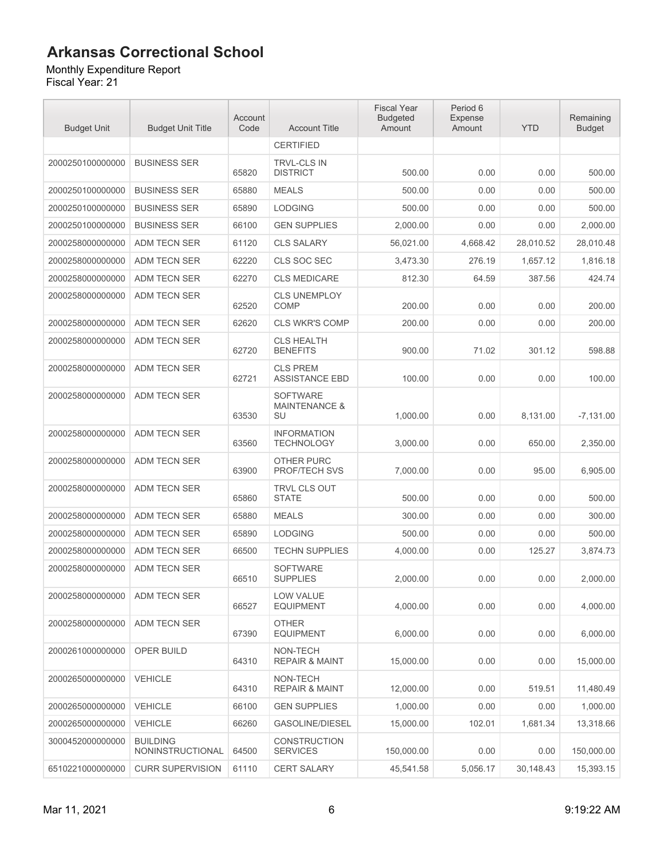#### Monthly Expenditure Report

| <b>Budget Unit</b> | <b>Budget Unit Title</b>            | Account<br>Code | <b>Account Title</b>                              | <b>Fiscal Year</b><br><b>Budgeted</b><br>Amount | Period 6<br><b>Expense</b><br>Amount | <b>YTD</b> | Remaining<br><b>Budget</b> |
|--------------------|-------------------------------------|-----------------|---------------------------------------------------|-------------------------------------------------|--------------------------------------|------------|----------------------------|
|                    |                                     |                 | <b>CERTIFIED</b>                                  |                                                 |                                      |            |                            |
| 2000250100000000   | <b>BUSINESS SER</b>                 | 65820           | <b>TRVL-CLS IN</b><br><b>DISTRICT</b>             | 500.00                                          | 0.00                                 | 0.00       | 500.00                     |
| 2000250100000000   | <b>BUSINESS SER</b>                 | 65880           | <b>MEALS</b>                                      | 500.00                                          | 0.00                                 | 0.00       | 500.00                     |
| 2000250100000000   | <b>BUSINESS SER</b>                 | 65890           | <b>LODGING</b>                                    | 500.00                                          | 0.00                                 | 0.00       | 500.00                     |
| 2000250100000000   | <b>BUSINESS SER</b>                 | 66100           | <b>GEN SUPPLIES</b>                               | 2,000.00                                        | 0.00                                 | 0.00       | 2.000.00                   |
| 2000258000000000   | ADM TECN SER                        | 61120           | <b>CLS SALARY</b>                                 | 56,021.00                                       | 4.668.42                             | 28,010.52  | 28,010.48                  |
| 2000258000000000   | ADM TECN SER                        | 62220           | CLS SOC SEC                                       | 3,473.30                                        | 276.19                               | 1,657.12   | 1,816.18                   |
| 2000258000000000   | ADM TECN SER                        | 62270           | <b>CLS MEDICARE</b>                               | 812.30                                          | 64.59                                | 387.56     | 424.74                     |
| 2000258000000000   | <b>ADM TECN SER</b>                 | 62520           | <b>CLS UNEMPLOY</b><br>COMP                       | 200.00                                          | 0.00                                 | 0.00       | 200.00                     |
| 2000258000000000   | ADM TECN SER                        | 62620           | CLS WKR'S COMP                                    | 200.00                                          | 0.00                                 | 0.00       | 200.00                     |
| 2000258000000000   | ADM TECN SER                        | 62720           | <b>CLS HEALTH</b><br><b>BENEFITS</b>              | 900.00                                          | 71.02                                | 301.12     | 598.88                     |
| 2000258000000000   | ADM TECN SER                        | 62721           | <b>CLS PREM</b><br><b>ASSISTANCE EBD</b>          | 100.00                                          | 0.00                                 | 0.00       | 100.00                     |
| 2000258000000000   | ADM TECN SER                        | 63530           | <b>SOFTWARE</b><br><b>MAINTENANCE &amp;</b><br>SU | 1,000.00                                        | 0.00                                 | 8,131.00   | $-7,131.00$                |
| 2000258000000000   | ADM TECN SER                        | 63560           | <b>INFORMATION</b><br><b>TECHNOLOGY</b>           | 3,000.00                                        | 0.00                                 | 650.00     | 2,350.00                   |
| 2000258000000000   | <b>ADM TECN SER</b>                 | 63900           | <b>OTHER PURC</b><br>PROF/TECH SVS                | 7,000.00                                        | 0.00                                 | 95.00      | 6,905.00                   |
| 2000258000000000   | ADM TECN SER                        | 65860           | <b>TRVL CLS OUT</b><br><b>STATE</b>               | 500.00                                          | 0.00                                 | 0.00       | 500.00                     |
| 2000258000000000   | <b>ADM TECN SER</b>                 | 65880           | <b>MEALS</b>                                      | 300.00                                          | 0.00                                 | 0.00       | 300.00                     |
| 2000258000000000   | <b>ADM TECN SER</b>                 | 65890           | <b>LODGING</b>                                    | 500.00                                          | 0.00                                 | 0.00       | 500.00                     |
| 2000258000000000   | ADM TECN SER                        | 66500           | <b>TECHN SUPPLIES</b>                             | 4,000.00                                        | 0.00                                 | 125.27     | 3,874.73                   |
| 2000258000000000   | <b>ADM TECN SER</b>                 | 66510           | <b>SOFTWARE</b><br><b>SUPPLIES</b>                | 2,000.00                                        | 0.00                                 | 0.00       | 2,000.00                   |
| 2000258000000000   | ADM TECN SER                        | 66527           | LOW VALUE<br><b>EQUIPMENT</b>                     | 4.000.00                                        | 0.00                                 | 0.00       | 4.000.00                   |
| 2000258000000000   | ADM TECN SER                        | 67390           | <b>OTHER</b><br><b>EQUIPMENT</b>                  | 6,000.00                                        | 0.00                                 | 0.00       | 6,000.00                   |
| 2000261000000000   | <b>OPER BUILD</b>                   | 64310           | NON-TECH<br><b>REPAIR &amp; MAINT</b>             | 15,000.00                                       | 0.00                                 | 0.00       | 15,000.00                  |
| 2000265000000000   | <b>VEHICLE</b>                      | 64310           | NON-TECH<br><b>REPAIR &amp; MAINT</b>             | 12,000.00                                       | 0.00                                 | 519.51     | 11.480.49                  |
| 2000265000000000   | <b>VEHICLE</b>                      | 66100           | <b>GEN SUPPLIES</b>                               | 1,000.00                                        | 0.00                                 | 0.00       | 1,000.00                   |
| 2000265000000000   | <b>VEHICLE</b>                      | 66260           | <b>GASOLINE/DIESEL</b>                            | 15,000.00                                       | 102.01                               | 1,681.34   | 13,318.66                  |
| 3000452000000000   | <b>BUILDING</b><br>NONINSTRUCTIONAL | 64500           | <b>CONSTRUCTION</b><br><b>SERVICES</b>            | 150,000.00                                      | 0.00                                 | 0.00       | 150,000.00                 |
| 6510221000000000   | <b>CURR SUPERVISION</b>             | 61110           | <b>CERT SALARY</b>                                | 45,541.58                                       | 5,056.17                             | 30,148.43  | 15,393.15                  |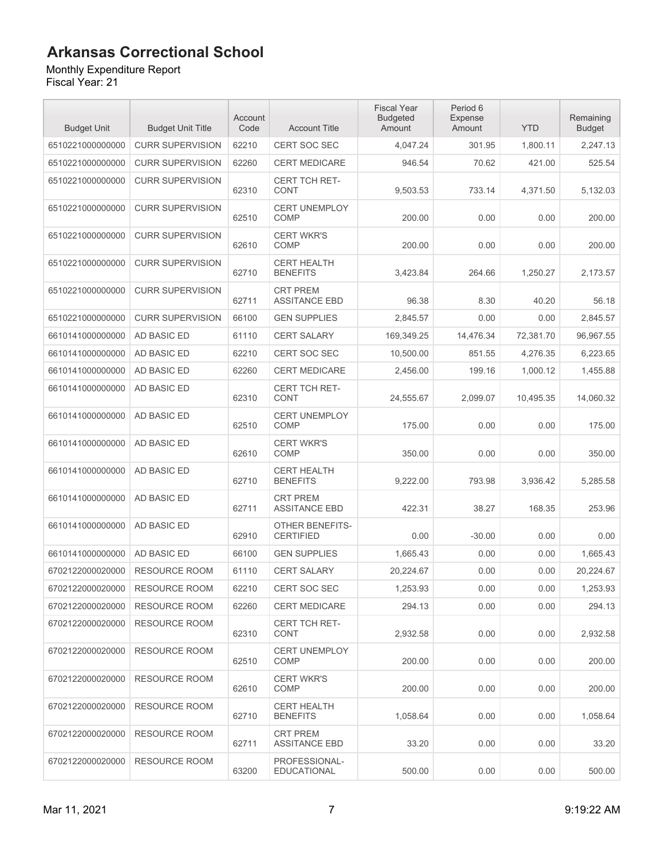#### Monthly Expenditure Report

| <b>Budget Unit</b> | <b>Budget Unit Title</b> | Account<br>Code | <b>Account Title</b>                    | <b>Fiscal Year</b><br><b>Budgeted</b><br>Amount | Period 6<br><b>Expense</b><br>Amount | <b>YTD</b> | Remaining<br><b>Budget</b> |
|--------------------|--------------------------|-----------------|-----------------------------------------|-------------------------------------------------|--------------------------------------|------------|----------------------------|
| 6510221000000000   | <b>CURR SUPERVISION</b>  | 62210           | <b>CERT SOC SEC</b>                     | 4,047.24                                        | 301.95                               | 1,800.11   | 2,247.13                   |
| 6510221000000000   | <b>CURR SUPERVISION</b>  | 62260           | CERT MEDICARE                           | 946.54                                          | 70.62                                | 421.00     | 525.54                     |
| 6510221000000000   | <b>CURR SUPERVISION</b>  | 62310           | CERT TCH RET-<br><b>CONT</b>            | 9,503.53                                        | 733.14                               | 4,371.50   | 5,132.03                   |
| 6510221000000000   | <b>CURR SUPERVISION</b>  | 62510           | <b>CERT UNEMPLOY</b><br>COMP            | 200.00                                          | 0.00                                 | 0.00       | 200.00                     |
| 6510221000000000   | <b>CURR SUPERVISION</b>  | 62610           | <b>CERT WKR'S</b><br><b>COMP</b>        | 200.00                                          | 0.00                                 | 0.00       | 200.00                     |
| 6510221000000000   | <b>CURR SUPERVISION</b>  | 62710           | <b>CERT HEALTH</b><br><b>BENEFITS</b>   | 3,423.84                                        | 264.66                               | 1,250.27   | 2,173.57                   |
| 6510221000000000   | <b>CURR SUPERVISION</b>  | 62711           | <b>CRT PREM</b><br><b>ASSITANCE EBD</b> | 96.38                                           | 8.30                                 | 40.20      | 56.18                      |
| 6510221000000000   | <b>CURR SUPERVISION</b>  | 66100           | <b>GEN SUPPLIES</b>                     | 2.845.57                                        | 0.00                                 | 0.00       | 2,845.57                   |
| 6610141000000000   | <b>AD BASIC ED</b>       | 61110           | <b>CERT SALARY</b>                      | 169,349.25                                      | 14,476.34                            | 72,381.70  | 96,967.55                  |
| 6610141000000000   | AD BASIC ED              | 62210           | <b>CERT SOC SEC</b>                     | 10,500.00                                       | 851.55                               | 4,276.35   | 6,223.65                   |
| 6610141000000000   | AD BASIC ED              | 62260           | <b>CERT MEDICARE</b>                    | 2,456.00                                        | 199.16                               | 1.000.12   | 1,455.88                   |
| 6610141000000000   | <b>AD BASIC ED</b>       | 62310           | CERT TCH RET-<br><b>CONT</b>            | 24,555.67                                       | 2.099.07                             | 10,495.35  | 14.060.32                  |
| 6610141000000000   | <b>AD BASIC ED</b>       | 62510           | <b>CERT UNEMPLOY</b><br><b>COMP</b>     | 175.00                                          | 0.00                                 | 0.00       | 175.00                     |
| 6610141000000000   | AD BASIC ED              | 62610           | <b>CERT WKR'S</b><br>COMP               | 350.00                                          | 0.00                                 | 0.00       | 350.00                     |
| 6610141000000000   | AD BASIC ED              | 62710           | <b>CERT HEALTH</b><br><b>BENEFITS</b>   | 9,222.00                                        | 793.98                               | 3,936.42   | 5,285.58                   |
| 6610141000000000   | AD BASIC ED              | 62711           | <b>CRT PREM</b><br><b>ASSITANCE EBD</b> | 422.31                                          | 38.27                                | 168.35     | 253.96                     |
| 6610141000000000   | <b>AD BASIC ED</b>       | 62910           | OTHER BENEFITS-<br><b>CERTIFIED</b>     | 0.00                                            | $-30.00$                             | 0.00       | 0.00                       |
| 6610141000000000   | AD BASIC ED              | 66100           | <b>GEN SUPPLIES</b>                     | 1,665.43                                        | 0.00                                 | 0.00       | 1,665.43                   |
| 6702122000020000   | <b>RESOURCE ROOM</b>     | 61110           | <b>CERT SALARY</b>                      | 20,224.67                                       | 0.00                                 | 0.00       | 20,224.67                  |
| 6702122000020000   | <b>RESOURCE ROOM</b>     | 62210           | CERT SOC SEC                            | 1,253.93                                        | 0.00                                 | 0.00       | 1,253.93                   |
| 6702122000020000   | <b>RESOURCE ROOM</b>     | 62260           | <b>CERT MEDICARE</b>                    | 294.13                                          | 0.00                                 | 0.00       | 294.13                     |
| 6702122000020000   | <b>RESOURCE ROOM</b>     | 62310           | <b>CERT TCH RET-</b><br><b>CONT</b>     | 2,932.58                                        | 0.00                                 | 0.00       | 2,932.58                   |
| 6702122000020000   | <b>RESOURCE ROOM</b>     | 62510           | <b>CERT UNEMPLOY</b><br><b>COMP</b>     | 200.00                                          | 0.00                                 | 0.00       | 200.00                     |
| 6702122000020000   | <b>RESOURCE ROOM</b>     | 62610           | <b>CERT WKR'S</b><br><b>COMP</b>        | 200.00                                          | 0.00                                 | 0.00       | 200.00                     |
| 6702122000020000   | <b>RESOURCE ROOM</b>     | 62710           | <b>CERT HEALTH</b><br><b>BENEFITS</b>   | 1.058.64                                        | 0.00                                 | 0.00       | 1,058.64                   |
| 6702122000020000   | <b>RESOURCE ROOM</b>     | 62711           | <b>CRT PREM</b><br><b>ASSITANCE EBD</b> | 33.20                                           | 0.00                                 | 0.00       | 33.20                      |
| 6702122000020000   | <b>RESOURCE ROOM</b>     | 63200           | PROFESSIONAL-<br><b>EDUCATIONAL</b>     | 500.00                                          | 0.00                                 | 0.00       | 500.00                     |